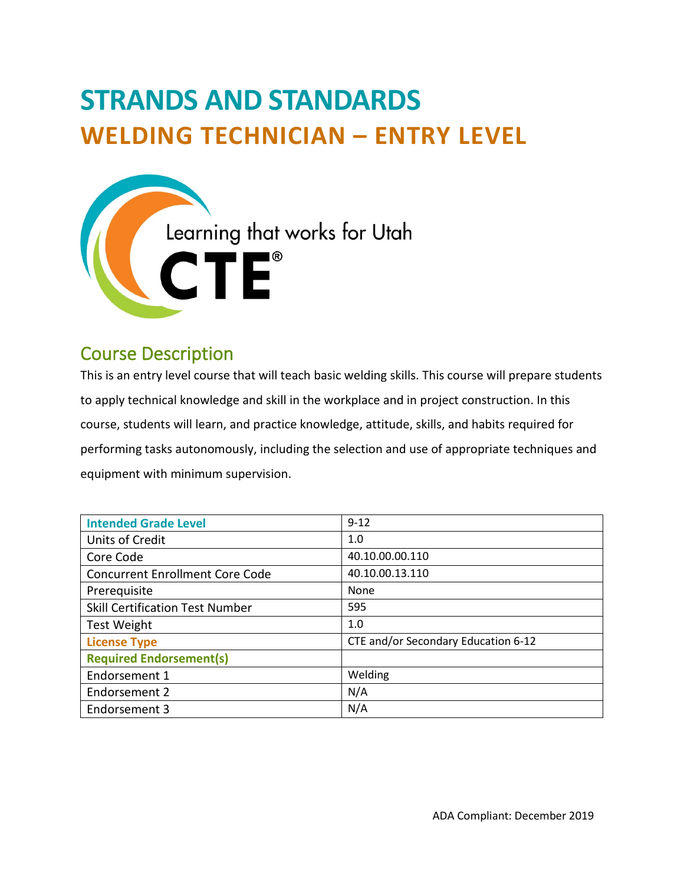# **STRANDS AND STANDARDS WELDING TECHNICIAN – ENTRY LEVEL**



# Course Description

This is an entry level course that will teach basic welding skills. This course will prepare students to apply technical knowledge and skill in the workplace and in project construction. In this course, students will learn, and practice knowledge, attitude, skills, and habits required for performing tasks autonomously, including the selection and use of appropriate techniques and equipment with minimum supervision.

| <b>Intended Grade Level</b>            | $9 - 12$                            |
|----------------------------------------|-------------------------------------|
| Units of Credit                        | 1.0                                 |
| Core Code                              | 40.10.00.00.110                     |
| <b>Concurrent Enrollment Core Code</b> | 40.10.00.13.110                     |
| Prerequisite                           | None                                |
| <b>Skill Certification Test Number</b> | 595                                 |
| Test Weight                            | 1.0                                 |
| <b>License Type</b>                    | CTE and/or Secondary Education 6-12 |
| <b>Required Endorsement(s)</b>         |                                     |
| Endorsement 1                          | Welding                             |
| Endorsement 2                          | N/A                                 |
| Endorsement 3                          | N/A                                 |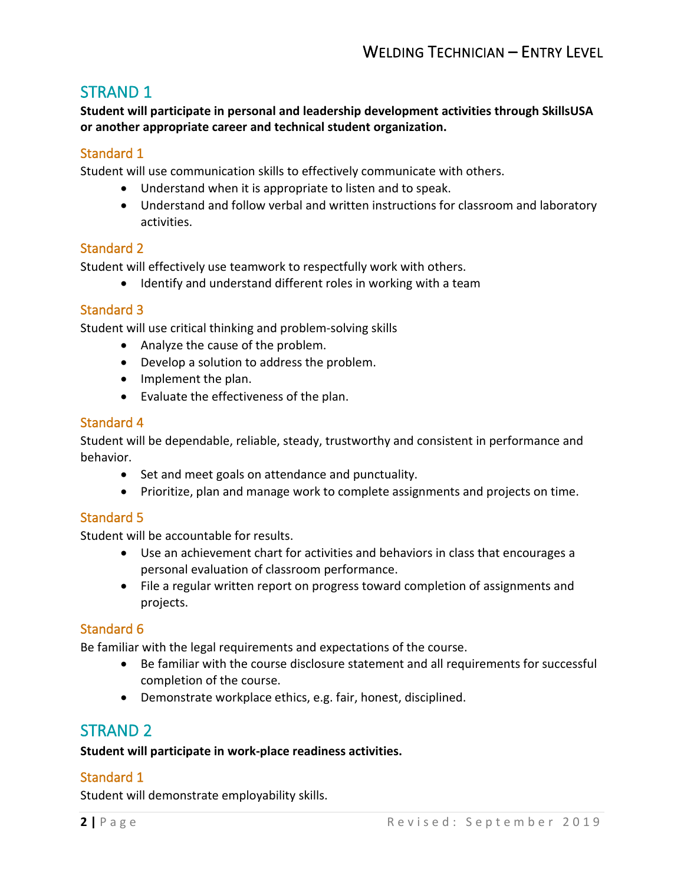## STRAND 1

**Student will participate in personal and leadership development activities through SkillsUSA or another appropriate career and technical student organization.** 

#### Standard 1

Student will use communication skills to effectively communicate with others.

- Understand when it is appropriate to listen and to speak.
- Understand and follow verbal and written instructions for classroom and laboratory activities.

#### Standard 2

Student will effectively use teamwork to respectfully work with others.

• Identify and understand different roles in working with a team

#### Standard 3

Student will use critical thinking and problem-solving skills

- Analyze the cause of the problem.
- Develop a solution to address the problem.
- Implement the plan.
- Evaluate the effectiveness of the plan.

#### Standard 4

Student will be dependable, reliable, steady, trustworthy and consistent in performance and behavior.

- Set and meet goals on attendance and punctuality.
- Prioritize, plan and manage work to complete assignments and projects on time.

### Standard 5

Student will be accountable for results.

- Use an achievement chart for activities and behaviors in class that encourages a personal evaluation of classroom performance.
- File a regular written report on progress toward completion of assignments and projects.

#### Standard 6

Be familiar with the legal requirements and expectations of the course.

- Be familiar with the course disclosure statement and all requirements for successful completion of the course.
- Demonstrate workplace ethics, e.g. fair, honest, disciplined.

# STRAND 2

#### **Student will participate in work-place readiness activities.**

#### Standard 1

Student will demonstrate employability skills.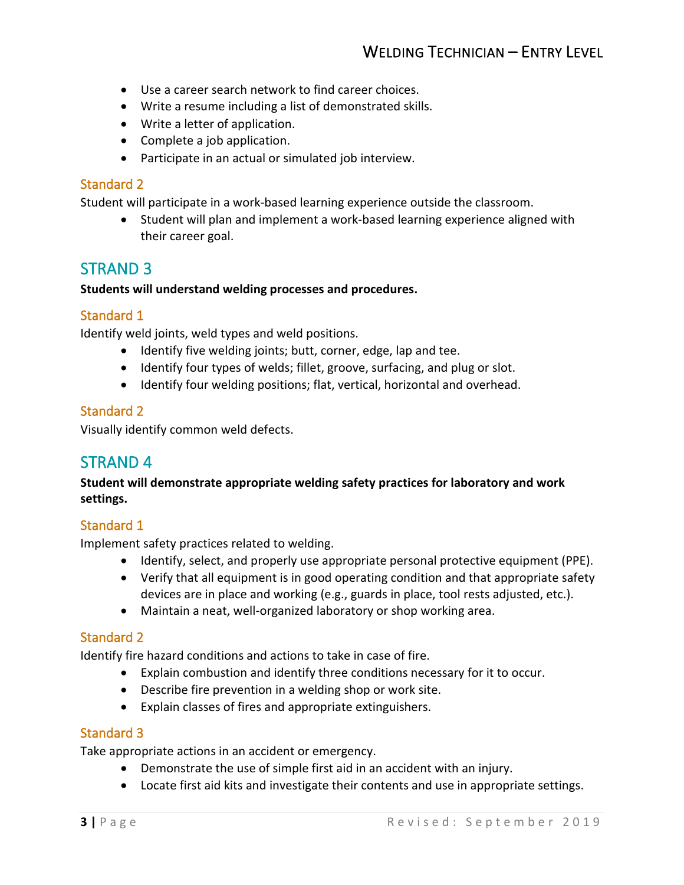- Use a career search network to find career choices.
- Write a resume including a list of demonstrated skills.
- Write a letter of application.
- Complete a job application.
- Participate in an actual or simulated job interview.

#### Standard 2

Student will participate in a work-based learning experience outside the classroom.

• Student will plan and implement a work-based learning experience aligned with their career goal.

## STRAND 3

#### **Students will understand welding processes and procedures.**

#### Standard 1

Identify weld joints, weld types and weld positions.

- Identify five welding joints; butt, corner, edge, lap and tee.
- Identify four types of welds; fillet, groove, surfacing, and plug or slot.
- Identify four welding positions; flat, vertical, horizontal and overhead.

#### Standard 2

Visually identify common weld defects.

## STRAND 4

**Student will demonstrate appropriate welding safety practices for laboratory and work settings.**

#### Standard 1

Implement safety practices related to welding.

- Identify, select, and properly use appropriate personal protective equipment (PPE).
- Verify that all equipment is in good operating condition and that appropriate safety devices are in place and working (e.g., guards in place, tool rests adjusted, etc.).
- Maintain a neat, well-organized laboratory or shop working area.

#### Standard 2

Identify fire hazard conditions and actions to take in case of fire.

- Explain combustion and identify three conditions necessary for it to occur.
- Describe fire prevention in a welding shop or work site.
- Explain classes of fires and appropriate extinguishers.

#### Standard 3

Take appropriate actions in an accident or emergency.

- Demonstrate the use of simple first aid in an accident with an injury.
- Locate first aid kits and investigate their contents and use in appropriate settings.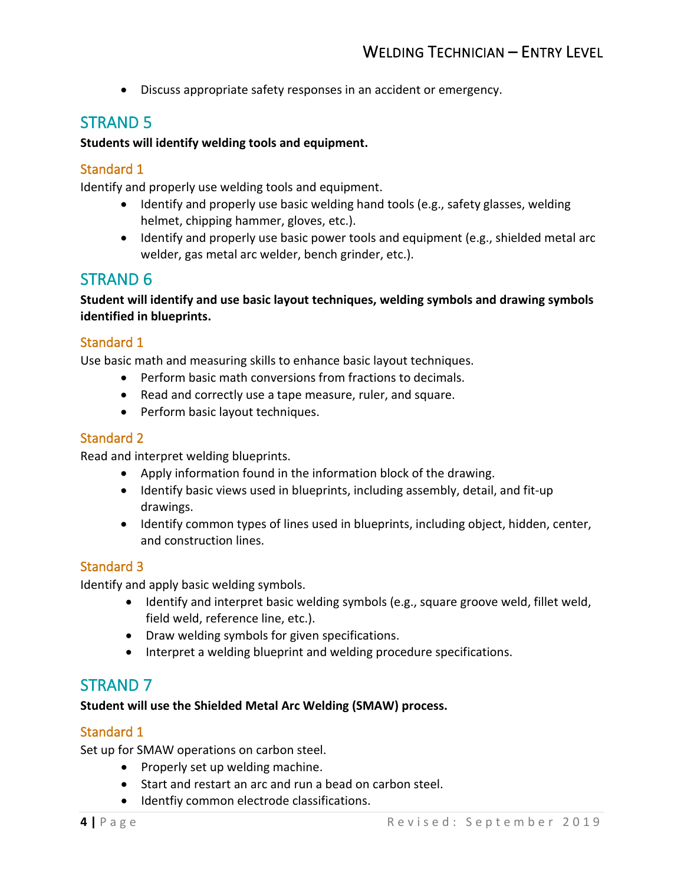• Discuss appropriate safety responses in an accident or emergency.

# STRAND 5

#### **Students will identify welding tools and equipment.**

#### Standard 1

Identify and properly use welding tools and equipment.

- Identify and properly use basic welding hand tools (e.g., safety glasses, welding helmet, chipping hammer, gloves, etc.).
- Identify and properly use basic power tools and equipment (e.g., shielded metal arc welder, gas metal arc welder, bench grinder, etc.).

## STRAND 6

**Student will identify and use basic layout techniques, welding symbols and drawing symbols identified in blueprints.**

#### Standard 1

Use basic math and measuring skills to enhance basic layout techniques.

- Perform basic math conversions from fractions to decimals.
- Read and correctly use a tape measure, ruler, and square.
- Perform basic layout techniques.

#### Standard 2

Read and interpret welding blueprints.

- Apply information found in the information block of the drawing.
- Identify basic views used in blueprints, including assembly, detail, and fit-up drawings.
- Identify common types of lines used in blueprints, including object, hidden, center, and construction lines.

#### Standard 3

Identify and apply basic welding symbols.

- Identify and interpret basic welding symbols (e.g., square groove weld, fillet weld, field weld, reference line, etc.).
- Draw welding symbols for given specifications.
- Interpret a welding blueprint and welding procedure specifications.

# STRAND 7

#### **Student will use the Shielded Metal Arc Welding (SMAW) process.**

#### Standard 1

Set up for SMAW operations on carbon steel.

- Properly set up welding machine.
- Start and restart an arc and run a bead on carbon steel.
- Identfiy common electrode classifications.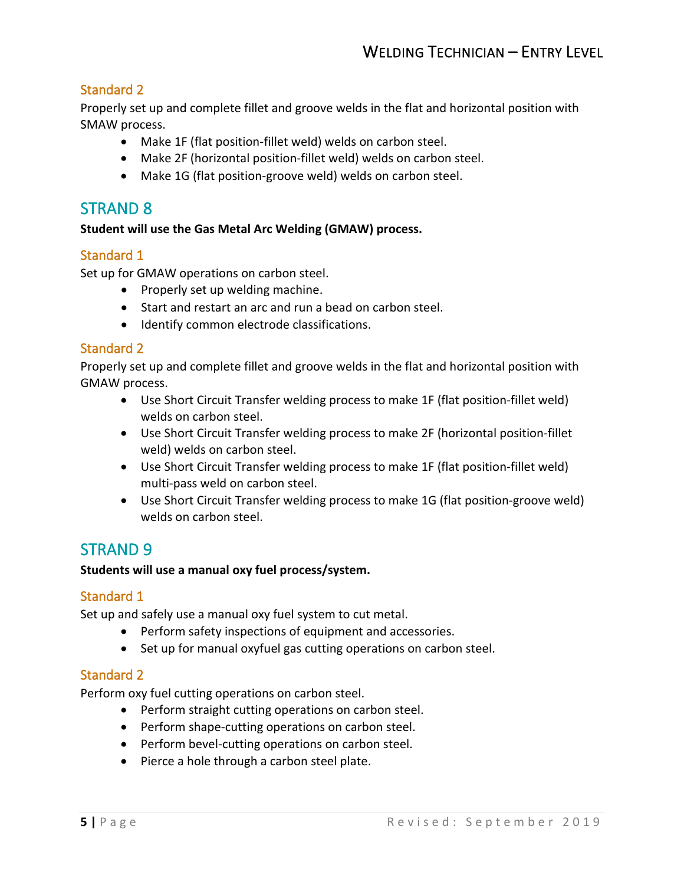#### Standard 2

Properly set up and complete fillet and groove welds in the flat and horizontal position with SMAW process.

- Make 1F (flat position-fillet weld) welds on carbon steel.
- Make 2F (horizontal position-fillet weld) welds on carbon steel.
- Make 1G (flat position-groove weld) welds on carbon steel.

## STRAND 8

#### **Student will use the Gas Metal Arc Welding (GMAW) process.**

#### Standard 1

Set up for GMAW operations on carbon steel.

- Properly set up welding machine.
- Start and restart an arc and run a bead on carbon steel.
- Identify common electrode classifications.

#### Standard 2

Properly set up and complete fillet and groove welds in the flat and horizontal position with GMAW process.

- Use Short Circuit Transfer welding process to make 1F (flat position-fillet weld) welds on carbon steel.
- Use Short Circuit Transfer welding process to make 2F (horizontal position-fillet weld) welds on carbon steel.
- Use Short Circuit Transfer welding process to make 1F (flat position-fillet weld) multi-pass weld on carbon steel.
- Use Short Circuit Transfer welding process to make 1G (flat position-groove weld) welds on carbon steel.

# STRAND 9

#### **Students will use a manual oxy fuel process/system.**

#### Standard 1

Set up and safely use a manual oxy fuel system to cut metal.

- Perform safety inspections of equipment and accessories.
- Set up for manual oxyfuel gas cutting operations on carbon steel.

#### Standard 2

Perform oxy fuel cutting operations on carbon steel.

- Perform straight cutting operations on carbon steel.
- Perform shape-cutting operations on carbon steel.
- Perform bevel-cutting operations on carbon steel.
- Pierce a hole through a carbon steel plate.